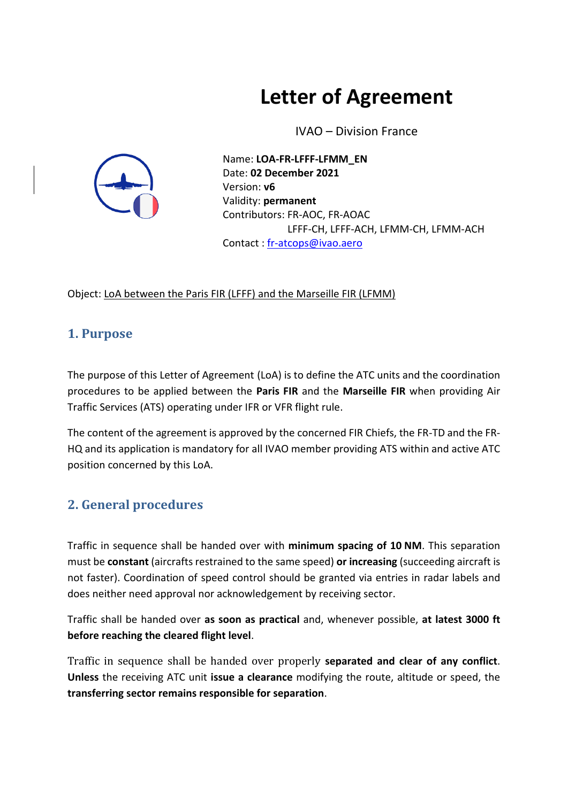# **Letter of Agreement**

IVAO – Division France



Name: **LOA-FR-LFFF-LFMM\_EN** Date: **02 December 2021** Version: **v6** Validity: **permanent** Contributors: FR-AOC, FR-AOAC LFFF-CH, LFFF-ACH, LFMM-CH, LFMM-ACH Contact : [fr-atcops@ivao.aero](mailto:fr-atcops@ivao.aero)

Object: LoA between the Paris FIR (LFFF) and the Marseille FIR (LFMM)

#### **1. Purpose**

The purpose of this Letter of Agreement (LoA) is to define the ATC units and the coordination procedures to be applied between the **Paris FIR** and the **Marseille FIR** when providing Air Traffic Services (ATS) operating under IFR or VFR flight rule.

The content of the agreement is approved by the concerned FIR Chiefs, the FR-TD and the FR-HQ and its application is mandatory for all IVAO member providing ATS within and active ATC position concerned by this LoA.

#### **2. General procedures**

Traffic in sequence shall be handed over with **minimum spacing of 10 NM**. This separation must be **constant** (aircrafts restrained to the same speed) **or increasing** (succeeding aircraft is not faster). Coordination of speed control should be granted via entries in radar labels and does neither need approval nor acknowledgement by receiving sector.

Traffic shall be handed over **as soon as practical** and, whenever possible, **at latest 3000 ft before reaching the cleared flight level**.

Traffic in sequence shall be handed over properly **separated and clear of any conflict**. **Unless** the receiving ATC unit **issue a clearance** modifying the route, altitude or speed, the **transferring sector remains responsible for separation**.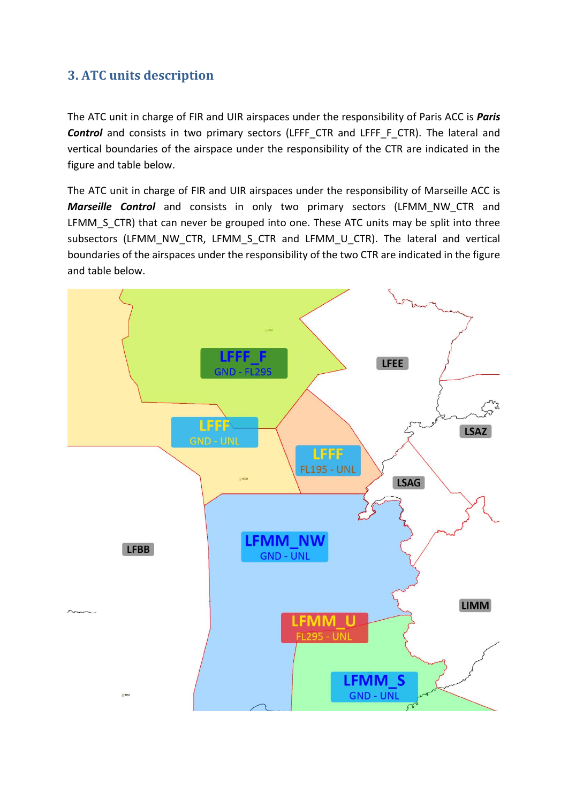#### **3. ATC units description**

The ATC unit in charge of FIR and UIR airspaces under the responsibility of Paris ACC is *Paris*  **Control** and consists in two primary sectors (LFFF CTR and LFFF F CTR). The lateral and vertical boundaries of the airspace under the responsibility of the CTR are indicated in the figure and table below.

The ATC unit in charge of FIR and UIR airspaces under the responsibility of Marseille ACC is *Marseille Control* and consists in only two primary sectors (LFMM\_NW\_CTR and LFMM\_S\_CTR) that can never be grouped into one. These ATC units may be split into three subsectors (LFMM\_NW\_CTR, LFMM\_S\_CTR\_and\_LFMM\_U\_CTR). The lateral and vertical boundaries of the airspaces under the responsibility of the two CTR are indicated in the figure and table below.

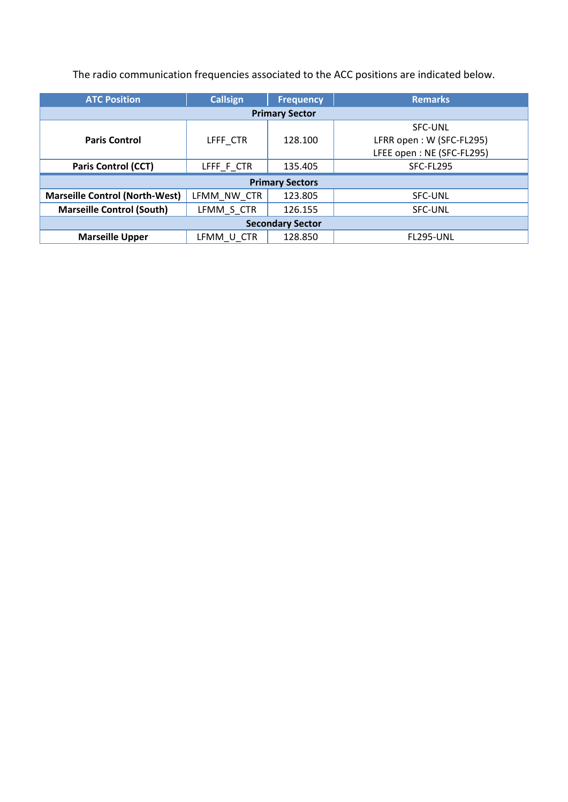The radio communication frequencies associated to the ACC positions are indicated below.

| <b>ATC Position</b>                   | <b>Callsign</b> | <b>Frequency</b> | <b>Remarks</b>            |  |  |  |  |  |
|---------------------------------------|-----------------|------------------|---------------------------|--|--|--|--|--|
| <b>Primary Sector</b>                 |                 |                  |                           |  |  |  |  |  |
|                                       |                 |                  | <b>SFC-UNL</b>            |  |  |  |  |  |
| <b>Paris Control</b>                  | LFFF CTR        | 128.100          | LFRR open: W (SFC-FL295)  |  |  |  |  |  |
|                                       |                 |                  | LFEE open: NE (SFC-FL295) |  |  |  |  |  |
| <b>Paris Control (CCT)</b>            | LFFF_F_CTR      | 135.405          | SFC-FL295                 |  |  |  |  |  |
| <b>Primary Sectors</b>                |                 |                  |                           |  |  |  |  |  |
| <b>Marseille Control (North-West)</b> | LFMM NW CTR     | 123.805          | <b>SFC-UNL</b>            |  |  |  |  |  |
| <b>Marseille Control (South)</b>      | LFMM S CTR      | 126.155          | <b>SFC-UNL</b>            |  |  |  |  |  |
| <b>Secondary Sector</b>               |                 |                  |                           |  |  |  |  |  |
| <b>Marseille Upper</b>                | LFMM U CTR      | 128.850          | <b>FL295-UNL</b>          |  |  |  |  |  |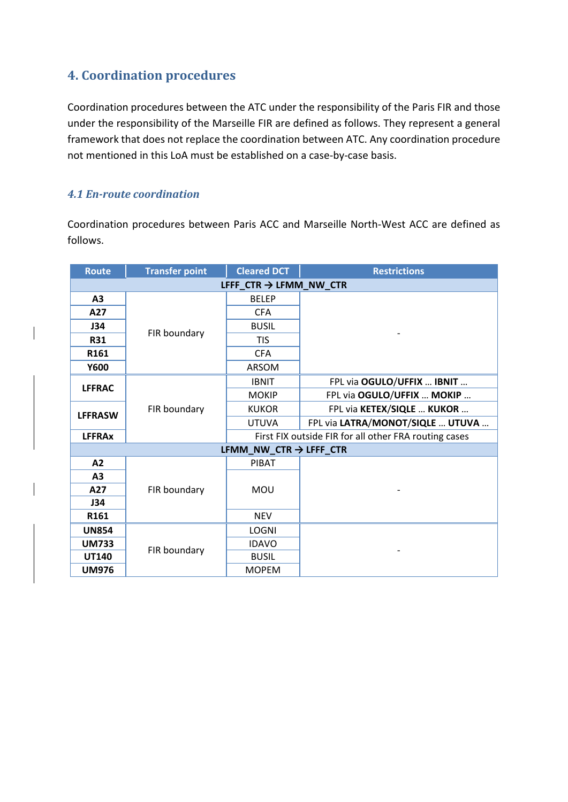#### **4. Coordination procedures**

Coordination procedures between the ATC under the responsibility of the Paris FIR and those under the responsibility of the Marseille FIR are defined as follows. They represent a general framework that does not replace the coordination between ATC. Any coordination procedure not mentioned in this LoA must be established on a case-by-case basis.

#### *4.1 En-route coordination*

Coordination procedures between Paris ACC and Marseille North-West ACC are defined as follows.

| <b>Route</b>                       | <b>Transfer point</b> | <b>Cleared DCT</b>                 | <b>Restrictions</b>                                   |  |  |  |  |
|------------------------------------|-----------------------|------------------------------------|-------------------------------------------------------|--|--|--|--|
| LFFF $CTR \rightarrow LFMM$ NW CTR |                       |                                    |                                                       |  |  |  |  |
| A <sub>3</sub>                     |                       | <b>BELEP</b>                       |                                                       |  |  |  |  |
| A27                                | FIR boundary          | <b>CFA</b>                         |                                                       |  |  |  |  |
| J34                                |                       | <b>BUSIL</b>                       |                                                       |  |  |  |  |
| <b>R31</b>                         |                       | <b>TIS</b>                         |                                                       |  |  |  |  |
| R161                               |                       | <b>CFA</b>                         |                                                       |  |  |  |  |
| <b>Y600</b>                        |                       | <b>ARSOM</b>                       |                                                       |  |  |  |  |
| <b>LFFRAC</b>                      | FIR boundary          | <b>IBNIT</b>                       | FPL via OGULO/UFFIX  IBNIT                            |  |  |  |  |
|                                    |                       | <b>MOKIP</b>                       | FPL via OGULO/UFFIX  MOKIP                            |  |  |  |  |
|                                    |                       | <b>KUKOR</b>                       | FPL via KETEX/SIQLE  KUKOR                            |  |  |  |  |
| <b>LFFRASW</b>                     |                       | <b>UTUVA</b>                       | FPL via LATRA/MONOT/SIQLE  UTUVA                      |  |  |  |  |
| <b>LFFRAx</b>                      |                       |                                    | First FIX outside FIR for all other FRA routing cases |  |  |  |  |
|                                    |                       | LFMM_NW_CTR $\rightarrow$ LFFF_CTR |                                                       |  |  |  |  |
| A2                                 |                       | <b>PIBAT</b>                       |                                                       |  |  |  |  |
| A <sub>3</sub>                     |                       |                                    |                                                       |  |  |  |  |
| A27                                | FIR boundary          | <b>MOU</b>                         |                                                       |  |  |  |  |
| J34                                |                       |                                    |                                                       |  |  |  |  |
| R161                               |                       | <b>NEV</b>                         |                                                       |  |  |  |  |
| <b>UN854</b>                       |                       | <b>LOGNI</b>                       |                                                       |  |  |  |  |
| <b>UM733</b>                       | FIR boundary          | <b>IDAVO</b>                       |                                                       |  |  |  |  |
| <b>UT140</b>                       |                       | <b>BUSIL</b>                       |                                                       |  |  |  |  |
| <b>UM976</b>                       |                       | <b>MOPEM</b>                       |                                                       |  |  |  |  |